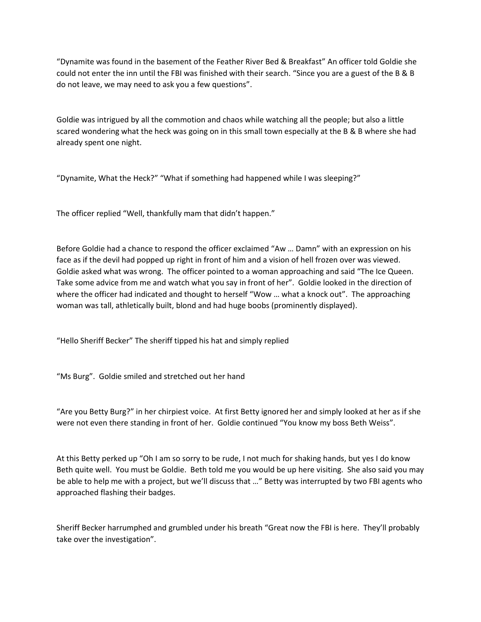"Dynamite was found in the basement of the Feather River Bed & Breakfast" An officer told Goldie she could not enter the inn until the FBI was finished with their search. "Since you are a guest of the B & B do not leave, we may need to ask you a few questions".

Goldie was intrigued by all the commotion and chaos while watching all the people; but also a little scared wondering what the heck was going on in this small town especially at the B & B where she had already spent one night.

"Dynamite, What the Heck?" "What if something had happened while I was sleeping?"

The officer replied "Well, thankfully mam that didn't happen."

Before Goldie had a chance to respond the officer exclaimed "Aw ... Damn" with an expression on his face as if the devil had popped up right in front of him and a vision of hell frozen over was viewed. Goldie asked what was wrong. The officer pointed to a woman approaching and said "The Ice Queen. Take some advice from me and watch what you say in front of her". Goldie looked in the direction of where the officer had indicated and thought to herself "Wow ... what a knock out". The approaching woman was tall, athletically built, blond and had huge boobs (prominently displayed).

"Hello Sheriff Becker" The sheriff tipped his hat and simply replied

"Ms Burg". Goldie smiled and stretched out her hand

͞Are you Betty Burg?͟ in her chirpiest voice. At first Betty ignored her and simply looked at her as if she were not even there standing in front of her. Goldie continued "You know my boss Beth Weiss".

At this Betty perked up "Oh I am so sorry to be rude, I not much for shaking hands, but yes I do know Beth quite well. You must be Goldie. Beth told me you would be up here visiting. She also said you may be able to help me with a project, but we'll discuss that ..." Betty was interrupted by two FBI agents who approached flashing their badges.

Sheriff Becker harrumphed and grumbled under his breath "Great now the FBI is here. They'll probably take over the investigation".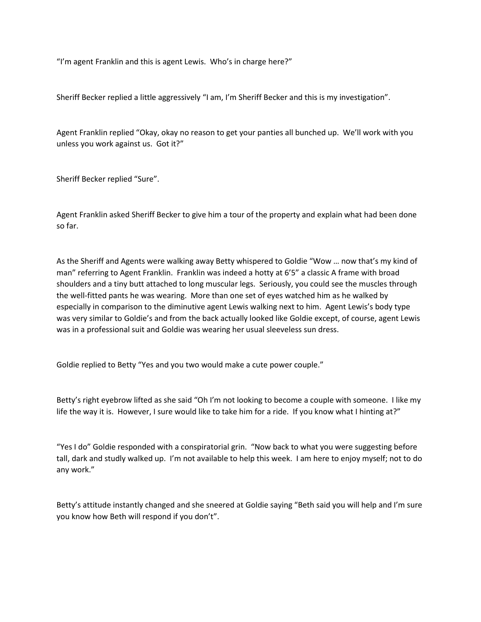"I'm agent Franklin and this is agent Lewis. Who's in charge here?"

Sheriff Becker replied a little aggressively "I am, I'm Sheriff Becker and this is my investigation".

Agent Franklin replied "Okay, okay no reason to get your panties all bunched up. We'll work with you unless you work against us. Got it?"

Sheriff Becker replied "Sure".

Agent Franklin asked Sheriff Becker to give him a tour of the property and explain what had been done so far.

As the Sheriff and Agents were walking away Betty whispered to Goldie "Wow ... now that's my kind of man" referring to Agent Franklin. Franklin was indeed a hotty at 6'5" a classic A frame with broad shoulders and a tiny butt attached to long muscular legs. Seriously, you could see the muscles through the well-fitted pants he was wearing. More than one set of eyes watched him as he walked by especially in comparison to the diminutive agent Lewis walking next to him. Agent Lewis's body type was very similar to Goldie's and from the back actually looked like Goldie except, of course, agent Lewis was in a professional suit and Goldie was wearing her usual sleeveless sun dress.

Goldie replied to Betty "Yes and you two would make a cute power couple."

Betty's right eyebrow lifted as she said "Oh I'm not looking to become a couple with someone. I like my life the way it is. However, I sure would like to take him for a ride. If you know what I hinting at?"

"Yes I do" Goldie responded with a conspiratorial grin. "Now back to what you were suggesting before tall, dark and studly walked up. I'm not available to help this week. I am here to enjoy myself; not to do any work."

Betty's attitude instantly changed and she sneered at Goldie saying "Beth said you will help and I'm sure you know how Beth will respond if you don't".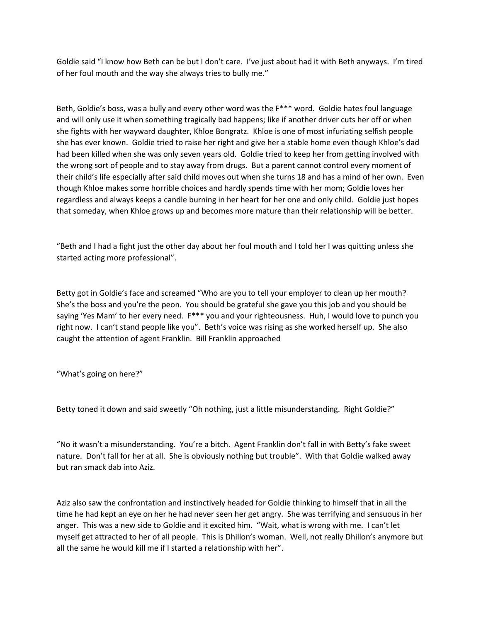Goldie said "I know how Beth can be but I don't care. I've just about had it with Beth anyways. I'm tired of her foul mouth and the way she always tries to bully me."

Beth, Goldie's boss, was a bully and every other word was the F\*\*\* word. Goldie hates foul language and will only use it when something tragically bad happens; like if another driver cuts her off or when she fights with her wayward daughter, Khloe Bongratz. Khloe is one of most infuriating selfish people she has ever known. Goldie tried to raise her right and give her a stable home even though Khloe's dad had been killed when she was only seven years old. Goldie tried to keep her from getting involved with the wrong sort of people and to stay away from drugs. But a parent cannot control every moment of their child's life especially after said child moves out when she turns 18 and has a mind of her own. Even though Khloe makes some horrible choices and hardly spends time with her mom; Goldie loves her regardless and always keeps a candle burning in her heart for her one and only child. Goldie just hopes that someday, when Khloe grows up and becomes more mature than their relationship will be better.

"Beth and I had a fight just the other day about her foul mouth and I told her I was quitting unless she started acting more professional".

Betty got in Goldie's face and screamed "Who are you to tell your employer to clean up her mouth? She's the boss and you're the peon. You should be grateful she gave you this job and you should be saying 'Yes Mam' to her every need. F\*\*\* you and your righteousness. Huh, I would love to punch you right now. I can't stand people like you". Beth's voice was rising as she worked herself up. She also caught the attention of agent Franklin. Bill Franklin approached

"What's going on here?"

Betty toned it down and said sweetly "Oh nothing, just a little misunderstanding. Right Goldie?"

"No it wasn't a misunderstanding. You're a bitch. Agent Franklin don't fall in with Betty's fake sweet nature. Don't fall for her at all. She is obviously nothing but trouble". With that Goldie walked away but ran smack dab into Aziz.

Aziz also saw the confrontation and instinctively headed for Goldie thinking to himself that in all the time he had kept an eye on her he had never seen her get angry. She was terrifying and sensuous in her anger. This was a new side to Goldie and it excited him. "Wait, what is wrong with me. I can't let myself get attracted to her of all people. This is Dhillon's woman. Well, not really Dhillon's anymore but all the same he would kill me if I started a relationship with her".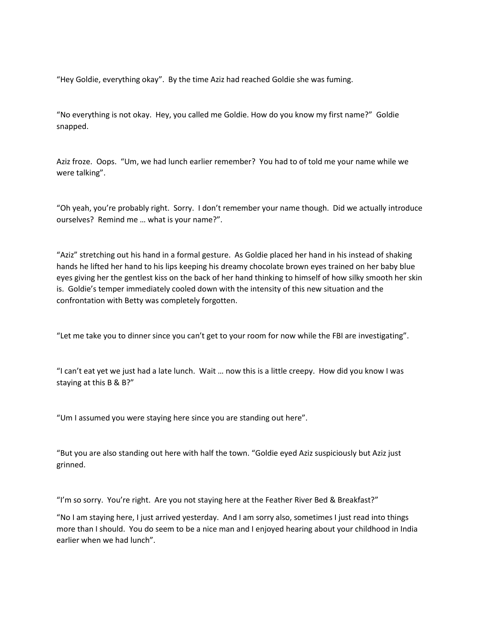"Hey Goldie, everything okay". By the time Aziz had reached Goldie she was fuming.

"No everything is not okay. Hey, you called me Goldie. How do you know my first name?" Goldie snapped.

Aziz froze. Oops. "Um, we had lunch earlier remember? You had to of told me your name while we were talking".

"Oh yeah, you're probably right. Sorry. I don't remember your name though. Did we actually introduce ourselves? Remind me ... what is your name?".

"Aziz" stretching out his hand in a formal gesture. As Goldie placed her hand in his instead of shaking hands he lifted her hand to his lips keeping his dreamy chocolate brown eyes trained on her baby blue eyes giving her the gentlest kiss on the back of her hand thinking to himself of how silky smooth her skin is. Goldie's temper immediately cooled down with the intensity of this new situation and the confrontation with Betty was completely forgotten.

"Let me take you to dinner since you can't get to your room for now while the FBI are investigating".

"I can't eat yet we just had a late lunch. Wait ... now this is a little creepy. How did you know I was staying at this B & B?"

"Um I assumed you were staying here since you are standing out here".

"But you are also standing out here with half the town. "Goldie eyed Aziz suspiciously but Aziz just grinned.

"I'm so sorry. You're right. Are you not staying here at the Feather River Bed & Breakfast?"

"No I am staying here, I just arrived yesterday. And I am sorry also, sometimes I just read into things more than I should. You do seem to be a nice man and I enjoyed hearing about your childhood in India earlier when we had lunch".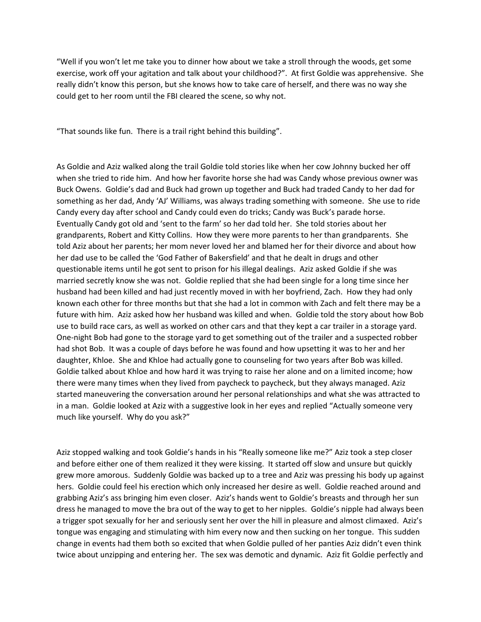"Well if you won't let me take you to dinner how about we take a stroll through the woods, get some exercise, work off your agitation and talk about your childhood?". At first Goldie was apprehensive. She really didn't know this person, but she knows how to take care of herself, and there was no way she could get to her room until the FBI cleared the scene, so why not.

"That sounds like fun. There is a trail right behind this building".

As Goldie and Aziz walked along the trail Goldie told stories like when her cow Johnny bucked her off when she tried to ride him. And how her favorite horse she had was Candy whose previous owner was Buck Owens. Goldie's dad and Buck had grown up together and Buck had traded Candy to her dad for something as her dad, Andy 'AJ' Williams, was always trading something with someone. She use to ride Candy every day after school and Candy could even do tricks; Candy was Buck's parade horse. Eventually Candy got old and 'sent to the farm' so her dad told her. She told stories about her grandparents, Robert and Kitty Collins. How they were more parents to her than grandparents. She told Aziz about her parents; her mom never loved her and blamed her for their divorce and about how her dad use to be called the 'God Father of Bakersfield' and that he dealt in drugs and other questionable items until he got sent to prison for his illegal dealings. Aziz asked Goldie if she was married secretly know she was not. Goldie replied that she had been single for a long time since her husband had been killed and had just recently moved in with her boyfriend, Zach. How they had only known each other for three months but that she had a lot in common with Zach and felt there may be a future with him. Aziz asked how her husband was killed and when. Goldie told the story about how Bob use to build race cars, as well as worked on other cars and that they kept a car trailer in a storage yard. One-night Bob had gone to the storage yard to get something out of the trailer and a suspected robber had shot Bob. It was a couple of days before he was found and how upsetting it was to her and her daughter, Khloe. She and Khloe had actually gone to counseling for two years after Bob was killed. Goldie talked about Khloe and how hard it was trying to raise her alone and on a limited income; how there were many times when they lived from paycheck to paycheck, but they always managed. Aziz started maneuvering the conversation around her personal relationships and what she was attracted to in a man. Goldie looked at Aziz with a suggestive look in her eyes and replied "Actually someone very much like yourself. Why do you ask?"

Aziz stopped walking and took Goldie's hands in his "Really someone like me?" Aziz took a step closer and before either one of them realized it they were kissing. It started off slow and unsure but quickly grew more amorous. Suddenly Goldie was backed up to a tree and Aziz was pressing his body up against hers. Goldie could feel his erection which only increased her desire as well. Goldie reached around and grabbing Aziz's ass bringing him even closer. Aziz's hands went to Goldie's breasts and through her sun dress he managed to move the bra out of the way to get to her nipples. Goldie's nipple had always been a trigger spot sexually for her and seriously sent her over the hill in pleasure and almost climaxed. Aziz's tongue was engaging and stimulating with him every now and then sucking on her tongue. This sudden change in events had them both so excited that when Goldie pulled of her panties Aziz didn't even think twice about unzipping and entering her. The sex was demotic and dynamic. Aziz fit Goldie perfectly and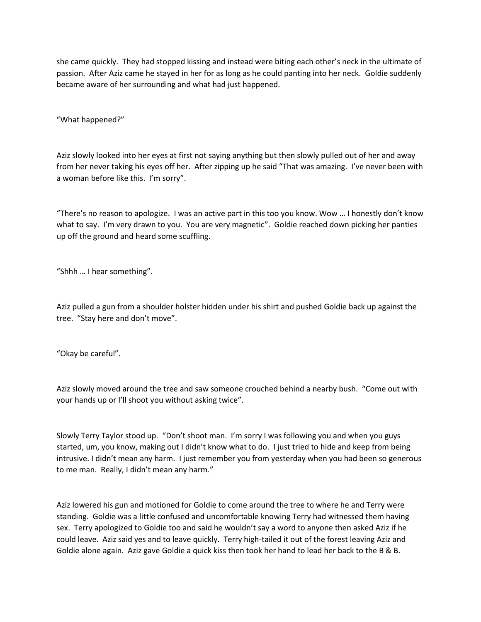she came quickly. They had stopped kissing and instead were biting each other's neck in the ultimate of passion. After Aziz came he stayed in her for as long as he could panting into her neck. Goldie suddenly became aware of her surrounding and what had just happened.

"What happened?"

Aziz slowly looked into her eyes at first not saying anything but then slowly pulled out of her and away from her never taking his eyes off her. After zipping up he said "That was amazing. I've never been with a woman before like this. I'm sorry".

"There's no reason to apologize. I was an active part in this too you know. Wow ... I honestly don't know what to say. I'm very drawn to you. You are very magnetic". Goldie reached down picking her panties up off the ground and heard some scuffling.

"Shhh ... I hear something".

Aziz pulled a gun from a shoulder holster hidden under his shirt and pushed Goldie back up against the tree. "Stay here and don't move".

"Okay be careful".

Aziz slowly moved around the tree and saw someone crouched behind a nearby bush. "Come out with your hands up or I'll shoot you without asking twice".

Slowly Terry Taylor stood up. "Don't shoot man. I'm sorry I was following you and when you guys started, um, you know, making out I didn't know what to do. I just tried to hide and keep from being intrusive. I didn't mean any harm. I just remember you from yesterday when you had been so generous to me man. Really, I didn't mean any harm."

Aziz lowered his gun and motioned for Goldie to come around the tree to where he and Terry were standing. Goldie was a little confused and uncomfortable knowing Terry had witnessed them having sex. Terry apologized to Goldie too and said he wouldn't say a word to anyone then asked Aziz if he could leave. Aziz said yes and to leave quickly. Terry high-tailed it out of the forest leaving Aziz and Goldie alone again. Aziz gave Goldie a quick kiss then took her hand to lead her back to the B & B.